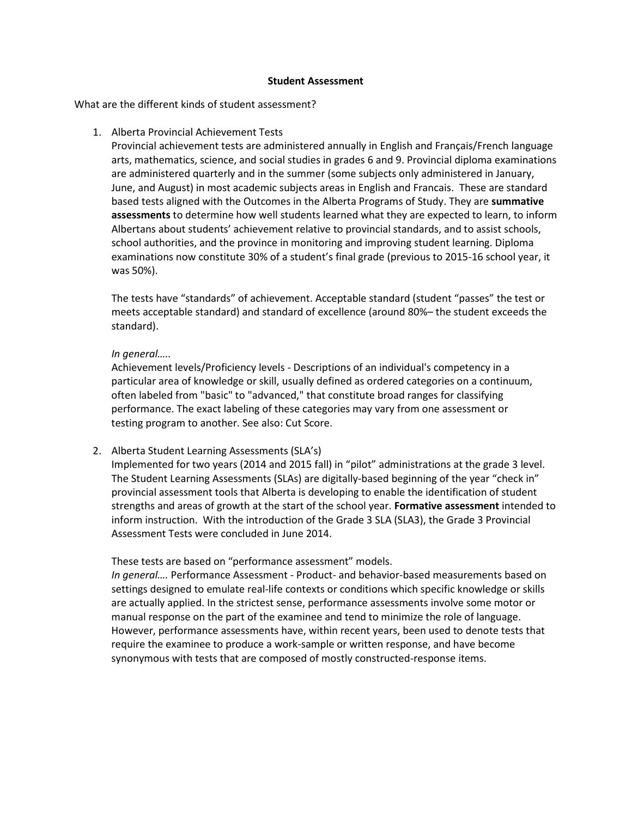## **Student Assessment**

What are the different kinds of student assessment?

## 1. Alberta Provincial Achievement Tests

Provincial achievement tests are administered annually in English and Français/French language arts, mathematics, science, and social studies in grades 6 and 9. Provincial diploma examinations are administered quarterly and in the summer (some subjects only administered in January, June, and August) in most academic subjects areas in English and Francais. These are standard based tests aligned with the Outcomes in the Alberta Programs of Study. They are **summative assessments** to determine how well students learned what they are expected to learn, to inform Albertans about students' achievement relative to provincial standards, and to assist schools, school authorities, and the province in monitoring and improving student learning. Diploma examinations now constitute 30% of a student's final grade (previous to 2015-16 school year, it was 50%).

The tests have "standards" of achievement. Acceptable standard (student "passes" the test or meets acceptable standard) and standard of excellence (around 80%– the student exceeds the standard).

## *In general…..*

Achievement levels/Proficiency levels - Descriptions of an individual's competency in a particular area of knowledge or skill, usually defined as ordered categories on a continuum, often labeled from "basic" to "advanced," that constitute broad ranges for classifying performance. The exact labeling of these categories may vary from one assessment or testing program to another. See also: Cut Score.

2. Alberta Student Learning Assessments (SLA's)

Implemented for two years (2014 and 2015 fall) in "pilot" administrations at the grade 3 level. The Student Learning Assessments (SLAs) are digitally-based beginning of the year "check in" provincial assessment tools that Alberta is developing to enable the identification of student strengths and areas of growth at the start of the school year. **Formative assessment** intended to inform instruction. With the introduction of the Grade 3 SLA (SLA3), the Grade 3 Provincial Assessment Tests were concluded in June 2014.

These tests are based on "performance assessment" models.

*In general….* Performance Assessment - Product- and behavior-based measurements based on settings designed to emulate real-life contexts or conditions which specific knowledge or skills are actually applied. In the strictest sense, performance assessments involve some motor or manual response on the part of the examinee and tend to minimize the role of language. However, performance assessments have, within recent years, been used to denote tests that require the examinee to produce a work-sample or written response, and have become synonymous with tests that are composed of mostly constructed-response items.